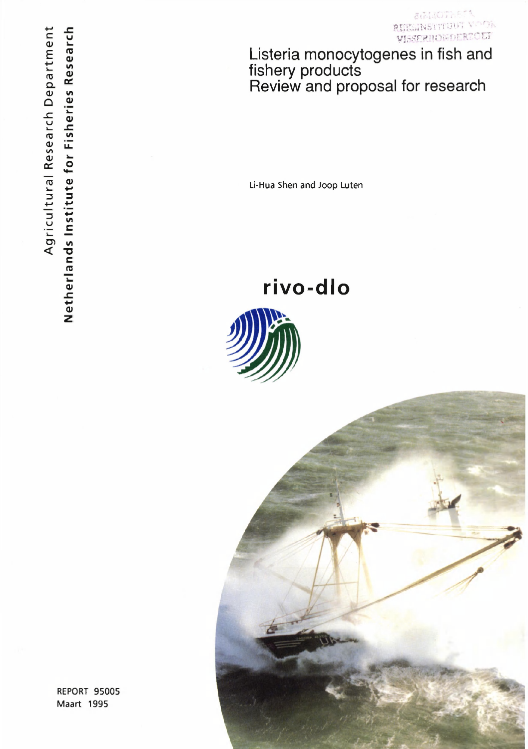**StatuoThers** ora **0XIK: TASTALISMENT** W.-SERIIONDERZOEY

Listeria monocytogenes in fish and fishery products Review and proposal for research

Li-Hua Shen and Joop Luten

**rivo-dlo** 





REPORT 95005 Maart 1995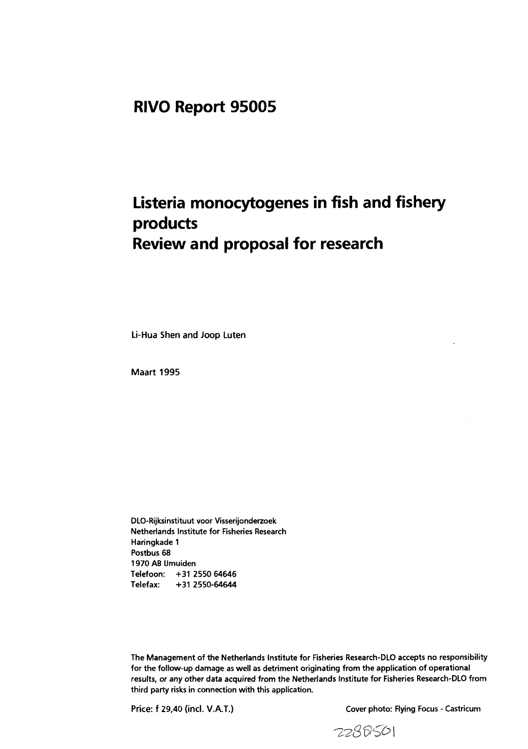## **RIVO Report 95005**

# **Listeria monocytogenes in fish and fishery products Review and proposal for research**

**Li-Hua Shen and Joop Luten** 

**Maart 1995** 

**DLO-Rijksinstituut voor Visserijonderzoek Netherlands Institute for Fisheries Research Haringkade 1 Postbus 68 1970 AB IJmuiden Telefoon: +31 2550 64646 Telefax: +31 2550-64644** 

**The Management of the Netherlands Institute for Fisheries Research-DLO accepts no responsibility for the follow-up damage as well as detriment originating from the application of operational results, or any other data acquired from the Netherlands Institute for Fisheries Research-DLO from third party risks in connection with this application.** 

**Price: f 29,40 (ind. V.A.T.) Cover photo: Flying Focus - Castricum** 

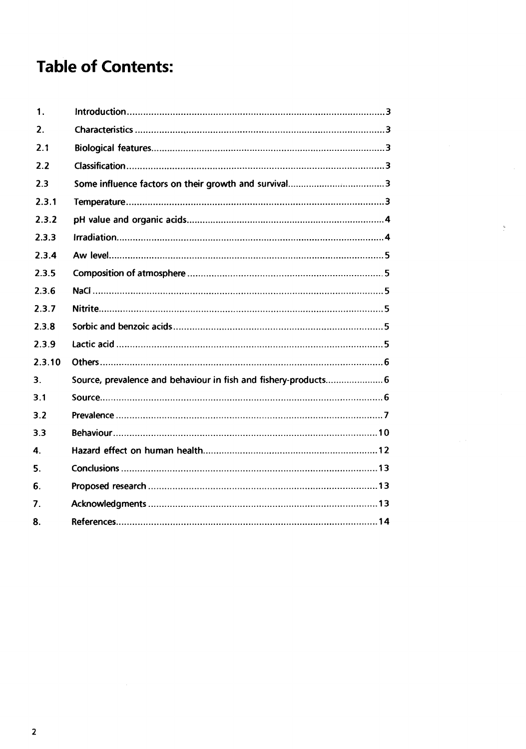# **Table of Contents:**

| 1.     |                                                                 |
|--------|-----------------------------------------------------------------|
| 2.     |                                                                 |
| 2.1    |                                                                 |
| 2.2    |                                                                 |
| 2.3    |                                                                 |
| 2.3.1  |                                                                 |
| 2.3.2  |                                                                 |
| 2.3.3  |                                                                 |
| 2.3.4  |                                                                 |
| 2.3.5  |                                                                 |
| 2.3.6  |                                                                 |
| 2.3.7  |                                                                 |
| 2.3.8  |                                                                 |
| 2.3.9  |                                                                 |
| 2.3.10 |                                                                 |
| 3.     | Source, prevalence and behaviour in fish and fishery-products 6 |
| 3.1    |                                                                 |
| 3.2    |                                                                 |
| 3.3    |                                                                 |
| 4.     |                                                                 |
| 5.     |                                                                 |
| 6.     |                                                                 |
| 7.     |                                                                 |
| 8.     |                                                                 |

 $\frac{\zeta}{\zeta}$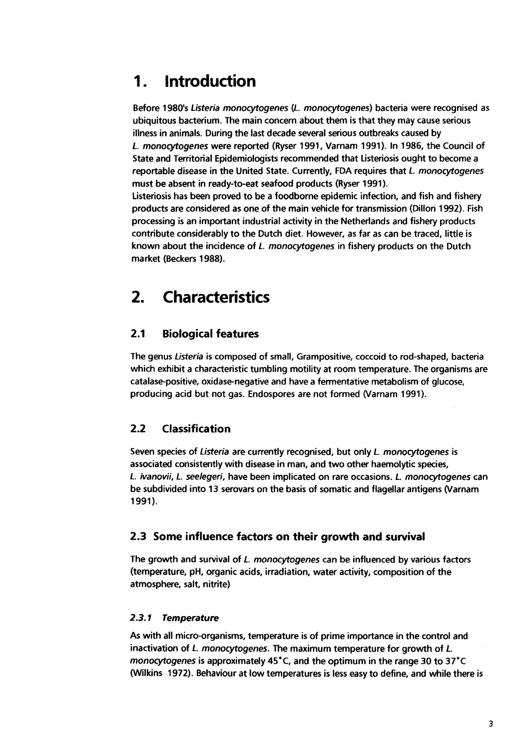## **1. Introduction**

**Before 1980's** *Listeria monocytogenes* **(L** *monocytogenes)* **bacteria were recognised as ubiquitous bacterium. The main concern about them is that they may cause serious illness in animals. During the last decade several serious outbreaks caused by**  *L. monocytogenes* **were reported (Ryser 1991, Varnam 1991). In 1986, the Council of State and Territorial Epidemiologists recommended that Listeriosis ought to become a reportable disease in the United State. Currently, FDA requires that** *L monocytogenes*  **must be absent in ready-to-eat seafood products (Ryser 1991).** 

**Listeriosis has been proved to be a foodborne epidemic infection, and fish and fishery products are considered as one of the main vehicle for transmission (Dillon 1992). Fish processing is an important industrial activity in the Netherlands and fishery products contribute considerably to the Dutch diet. However, as far as can be traced, little is known about the incidence of** *L. monocytogenes* **in fishery products on the Dutch market (Beckers 1988).** 

## **2. Characteristics**

## **2.1 Biological features**

**The genus** *Listeria* **is composed of small, Grampositive, coccoid to rod-shaped, bacteria which exhibit a characteristic tumbling motility at room temperature. The organisms are catalase-positive, oxidase-negative and have a fermentative metabolism of glucose, producing acid but not gas. Endospores are not formed (Varnam 1991).** 

## **2.2 Classification**

**Seven species of** *Listeria* **are currently recognised, but only** *L. monocytogenes* **is associated consistently with disease in man, and two other haemolytic species,**  *L. ivanovii, L. seelegeri,* **have been implicated on rare occasions.** *L. monocytogenes* **can be subdivided into 13 serovars on the basis of somatic and flagellar antigens (Varnam 1991).** 

### **2.3 Some influence factors on their growth and survival**

**The growth and survival of** *L. monocytogenes* **can be influenced by various factors (temperature, pH, organic acids, irradiation, water activity, composition of the atmosphere, salt, nitrite)** 

#### *2.3.1 Temperature*

**As with all micro-organisms, temperature is of prime importance in the control and inactivation of** *L. monocytogenes.* **The maximum temperature for growth of** *L. monocytogenes* **is approximately 45°C, and the optimum in the range 30 to 37°C (Wilkins 1972). Behaviour at low temperatures is less easy to define, and while there is**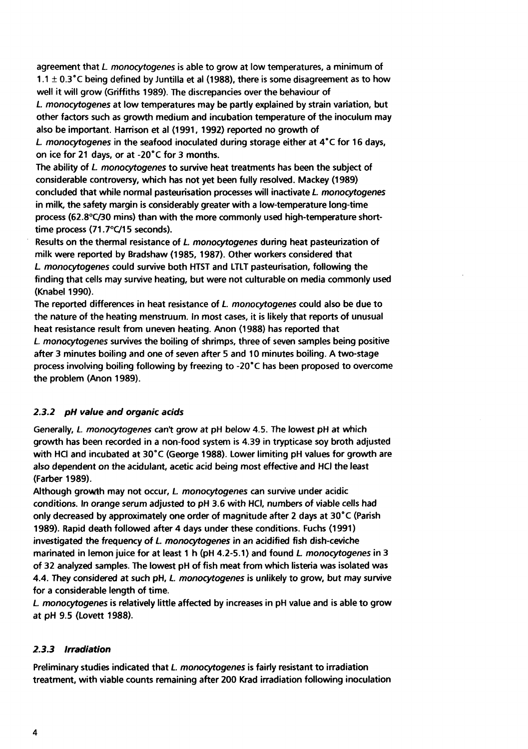**agreement that** *L. monocytogenes* **is able to grow at low temperatures, a minimum of 1.1 ± 0.3°C being defined by Juntilla et al (1988), there is some disagreement as to how well it will grow (Griffiths 1989). The discrepancies over the behaviour of**  *L monocytogenes* **at low temperatures may be partly explained by strain variation, but other factors such as growth medium and incubation temperature of the inoculum may also be important. Harrison et al (1991, 1992) reported no growth of** 

*L monocytogenes* **in the seafood inoculated during storage either at 4°C for 16 days, on ice for 21 days, or at -20°C for 3 months.** 

**The ability of** *L monocytogenes* **to survive heat treatments has been the subject of considerable controversy, which has not yet been fully resolved. Mackey (1989) concluded that while normal pasteurisation processes will inactivate** *L. monocytogenes*  **in milk, the safety margin is considerably greater with a low-temperature long-time process (62.8°C/30 mins) than with the more commonly used high-temperature shorttime process (71.7°C/15 seconds).** 

**Results on the thermal resistance of** *L monocytogenes* **during heat pasteurization of milk were reported by Bradshaw (1985, 1987). Other workers considered that**  *L monocytogenes* **could survive both HTST and LTLT pasteurisation, following the finding that cells may survive heating, but were not culturable on media commonly used (Knabel 1990).** 

**The reported differences in heat resistance of** *L. monocytogenes* **could also be due to the nature of the heating menstruum. In most cases, it is likely that reports of unusual heat resistance result from uneven heating. Anon (1988) has reported that**  *L monocytogenes* **survives the boiling of shrimps, three of seven samples being positive after 3 minutes boiling and one of seven after 5 and 10 minutes boiling. A two-stage process involving boiling following by freezing to -20°C has been proposed to overcome the problem (Anon 1989).** 

### *2.3.2 pH value and organic acids*

**Generally,** *L. monocytogenes* **cant grow at pH below 4.5. The lowest pH at which growth has been recorded in a non-food system is 4.39 in trypticase soy broth adjusted with HCl and incubated at 30°C (George 1988). Lower limiting pH values for growth are also dependent on the acidulant, acetic acid being most effective and HCl the least (Färber 1989).** 

**Although growth may not occur,** *L monocytogenes* **can survive under acidic conditions. In** *orange serum* **adjusted to pH 3.6 with HCl, numbers of viable cells had only decreased by approximately one order of magnitude after 2 days at 30°C (Parish 1989). Rapid death followed after 4 days under these conditions. Fuchs (1991) investigated the frequency of** *L monocytogenes* **in an acidified fish dish-ceviche marinated in lemon juice for at least 1 h (pH 4.2-5.1) and found** *L monocytogenes* **in 3 of 32 analyzed samples. The lowest pH of fish meat from which listeria was isolated was 4.4. They considered at such pH,** *L monocytogenes* **is unlikely to grow, but** *may* **survive for a considerable length of time.** 

*L monocytogenes* **is relatively little affected by increases in pH value and is able to grow at pH 9.5 (Lovett 1988).** 

### *2.3.3 Irradiation*

**Preliminary studies indicated that** *L monocytogenes* **is fairly resistant to irradiation treatment, with viable counts remaining after 200 Krad irradiation following inoculation**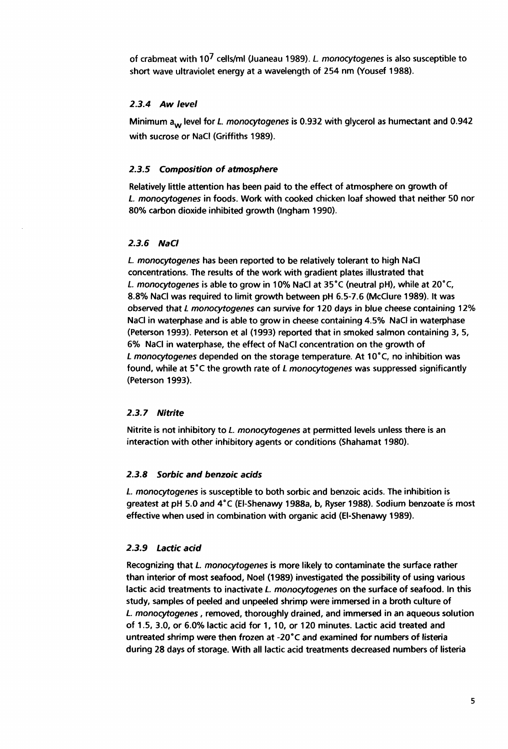**of crabmeat with 10<sup>7</sup>cells/ml (Juaneau 1989).** *L monocytogenes* **is also susceptible to short wave ultraviolet energy at a wavelength of 254 nm (Yousef 1988).** 

#### *2.3.4 Aw level*

**Minimum aw level for** *L. monocytogenes* **is 0.932 with glycerol as humectant and 0.942 with sucrose or NaCl (Griffiths 1989).** 

#### *2.3.5 Composition of atmosphere*

**Relatively little attention has been paid to the effect of atmosphere on growth of**  *L. monocytogenes* **in foods. Work with cooked chicken loaf showed that neither 50 nor 80% carbon dioxide inhibited growth (Ingham 1990).** 

#### *2.3.6 NaCl*

*L. monocytogenes* **has been reported to be relatively tolerant to high NaCl concentrations. The results of the work with gradient plates illustrated that L** *monocytogenes* **is able to grow in 10% NaCl at 35°C (neutral pH), while at 20°C, 8.8% NaCl was required to limit growth between pH 6.5-7.6 (McClure 1989). It was observed that** *L monocytogenes can survive for 120* **days in blue cheese containing 12% NaCl in waterphase and is able to grow in cheese containing 4.5% NaCl in waterphase (Peterson 1993). Peterson et al (1993) reported that in smoked salmon containing 3, 5, 6% NaCl in waterphase, the effect of NaCl concentration on the growth of**  *L monocytogenes* **depended on the storage temperature. At 10°C, no inhibition was found, while at 5°C the growth rate of** *L monocytogenes* **was suppressed significantly (Peterson 1993).** 

#### *2.3.7 Nitrite*

**Nitrite is not inhibitory to** *L. monocytogenes* **at permitted levels unless there is an interaction with other inhibitory agents or conditions (Shahamat 1980).** 

#### *2.3.8 Sorbic and benzoic acids*

*L monocytogenes* **is susceptible to both sorbic and benzoic acids. The inhibition is greatest at pH 5.0** *and* **4°C (El-Shenawy 1988a, b( Ryser 1988). Sodium benzoate is most effective when used in combination with organic acid (El-Shenawy 1989).** 

#### *2.3.9 Lactic acid*

**Recognizing that** *L. monocytogenes* **is more likely to contaminate the surface rather than interior of most seafood, Noel (1989) investigated the possibility of using various lactic acid treatments to inactivate** *L. monocytogenes* **on the surface of seafood. In this study, samples of peeled and unpeeled shrimp were immersed in a broth culture of**  *L. monocytogenes***, removed, thoroughly drained, and immersed in an aqueous solution of 1.5, 3.0, or 6.0% lactic acid for 1, 10, or 120 minutes. Lactic acid treated and untreated shrimp were then frozen at -20°C and examined for numbers of listeria during 28 days of storage. With all lactic acid treatments decreased numbers of listeria**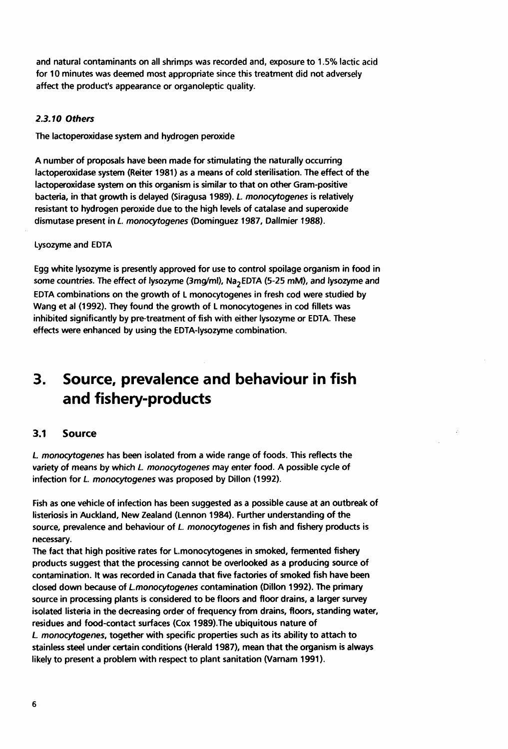**and natural contaminants on all shrimps was recorded and, exposure to 1.5% lactic acid for 10 minutes was deemed most appropriate since this treatment did not adversely affect the product's appearance or organoleptic quality.** 

### *2.3.10 Others*

**The lactoperoxidase system and hydrogen peroxide** 

**A number of proposals have been made for stimulating the naturally occurring lactoperoxidase system (Reiter 1981) as a means of cold sterilisation. The effect of the lactoperoxidase system on this organism is similar to that on other Gram-positive bacteria, in that growth is delayed (Siragusa 1989).** *L. monocytogenes* **is relatively resistant to hydrogen peroxide due to the high levels of catalase and superoxide dismutase present in** *L. monocytogenes* **(Dominguez 1987, Dallmier 1988).** 

### **Lysozyme and EDTA**

**Egg white lysozyme is presently approved for use to control spoilage organism in food in some countries. The** *effect of* **lysozyme (3mg/ml), Na2EDTA (5-25 mM), and** *lysozyme and*  **EDTA combinations on the growth of L monocytogenes in fresh cod were studied by Wang et al (1992). They found the growth of L monocytogenes in cod fillets was inhibited significantly by pre-treatment of fish with either lysozyme or EDTA. These effects were enhanced by using the EDTA-lysozyme combination.** 

## **3. Source, prevalence and behaviour in fish and fishery-products**

## **3.1 Source**

*L monocytogenes* **has been isolated from a wide range of foods. This reflects the variety of** *means* **by which** *L monocytogenes may enter* **food. A possible cycle of infection for** *L. monocytogenes* **was proposed by Dillon (1992).** 

**Fish as one vehicle of infection has been suggested as a possible cause at an outbreak of listeriosis in Auckland, New Zealand (Lennon 1984). Further understanding of the source, prevalence and behaviour of** *L. monocytogenes* **in fish and fishery products is necessary.** 

**The fact that high positive rates for L.monocytogenes in smoked, fermented fishery products suggest that the processing cannot be overlooked as a producing source of contamination. It was recorded in Canada that five factories of smoked fish have been closed down because of** *L.monocytogenes* **contamination (Dillon 1992). The primary source in processing plants is considered to be floors and floor drains, a larger survey isolated listeria in the decreasing order of frequency from drains, floors, standing water, residues and food-contact surfaces (Cox 1989).The ubiquitous nature of**  *L monocytogenes,* **together with specific properties such as its ability to attach to stainless steel under certain conditions (Herald 1987), mean that the organism is always likely to present a problem with respect to plant sanitation (Varnam 1991).**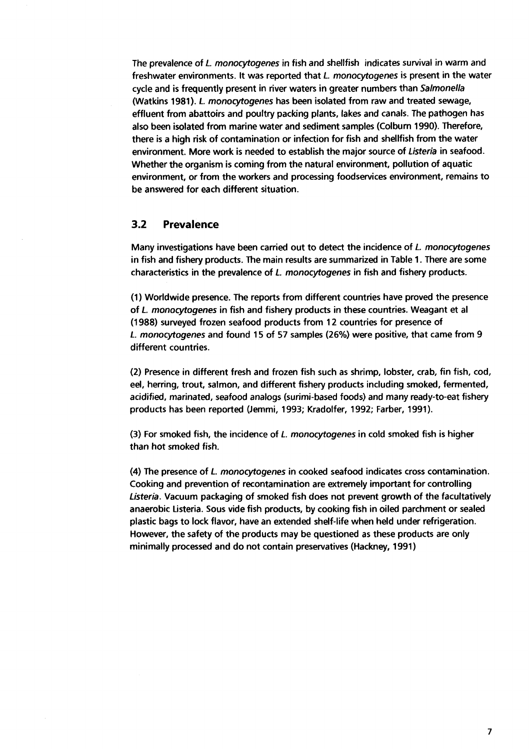**The prevalence of** *L monocytogenes* **in fish and shellfish indicates survival in warm and freshwater environments. It was reported that** *L. monocytogenes* **is present in the water cycle and is frequently present in river waters in greater numbers than** *Salmonella*  **(Watkins 1981).** *L. monocytogenes* **has been isolated from raw and treated sewage, effluent from abattoirs and poultry packing plants, lakes and canals. The pathogen has also been isolated from marine water and sediment samples (Colburn 1990). Therefore, there is a high risk of contamination or infection for fish and shellfish from the water environment. More work is needed to establish the major source of** *Listeria* **in seafood. Whether the organism is coming from the natural environment, pollution of aquatic environment, or from the workers and processing foodservices environment, remains to be answered for each different situation.** 

#### **3.2 Prevalence**

**Many investigations have been carried out to detect the incidence of** *L monocytogenes*  **in fish and fishery products. The main results are summarized in Table 1. There are some characteristics in the prevalence of** *L. monocytogenes* **in fish and fishery products.** 

**(1) Worldwide presence. The reports from different countries have proved the presence of** *L. monocytogenes* **in fish and fishery products in these countries. Weagant et al (1988) surveyed frozen seafood products from 12 countries for presence of**  *L. monocytogenes* **and found 15 of 57 samples (26%) were positive, that came from 9 different countries.** 

**(2) Presence in different fresh and frozen fish such as shrimp, lobster, crab, fin fish, cod, eel, herring, trout, salmon, and different fishery products including smoked, fermented, acidified, marinated, seafood analogs (surimi-based foods) and many ready-to-eat fishery products has been reported (Jemmi, 1993; Kradolfer, 1992; Färber, 1991).** 

**(3) For smoked fish, the incidence of** *L monocytogenes* **in cold smoked fish is higher than hot smoked fish.** 

**(4) The presence of** *L. monocytogenes* **in cooked seafood indicates cross contamination. Cooking and prevention of recontamination are extremely important for controlling**  *Listeria.* **Vacuum packaging of smoked fish does not prevent growth of the facultatively anaerobic Listeria. Sous vide fish products, by cooking fish in oiled parchment or sealed plastic bags to lock flavor, have an extended shelf-life when held under refrigeration. However, the safety of the products may be questioned as these products are only minimally processed and do not contain preservatives (Hackney, 1991)**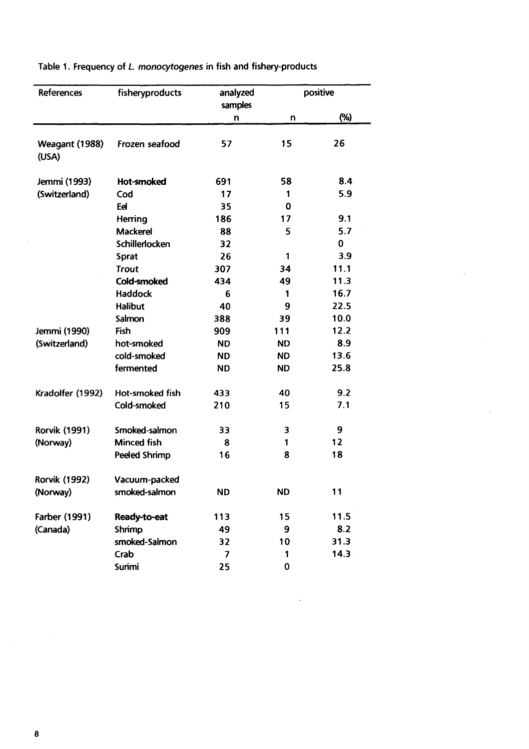| References              | fisheryproducts      | analyzed<br>samples      | positive  |          |
|-------------------------|----------------------|--------------------------|-----------|----------|
|                         |                      | n                        | n         | (%)      |
| Weagant (1988)<br>(USA) | Frozen seafood       | 57                       | 15        | 26       |
| Jemmi (1993)            | <b>Hot-smoked</b>    | 691                      | 58        | 8.4      |
| (Switzerland)           | Cod                  | 17                       | 1         | 5.9      |
|                         | Eel                  | 35                       | 0         |          |
|                         | Herring              | 186                      | 17        | 9.1      |
|                         | <b>Mackerel</b>      | 88                       | 5         | 5.7      |
|                         | Schillerlocken       | 32                       |           | $\bf{0}$ |
|                         | <b>Sprat</b>         | 26                       | 1         | 3.9      |
|                         | <b>Trout</b>         | 307                      | 34        | 11.1     |
|                         | Cold-smoked          | 434                      | 49        | 11.3     |
|                         | <b>Haddock</b>       | 6                        | 1         | 16.7     |
|                         | <b>Halibut</b>       | 40                       | 9         | 22.5     |
|                         | Salmon               | 388                      | 39        | 10.0     |
| Jemmi (1990)            | Fish                 | 909                      | 111       | 12.2     |
| (Switzerland)           | hot-smoked           | <b>ND</b>                | <b>ND</b> | 8.9      |
|                         | cold-smoked          | <b>ND</b>                | <b>ND</b> | 13.6     |
|                         | fermented            | <b>ND</b>                | <b>ND</b> | 25.8     |
| Kradolfer (1992)        | Hot-smoked fish      | 433                      | 40        | 9.2      |
|                         | Cold-smoked          | 210                      | 15        | 7.1      |
| <b>Rorvik (1991)</b>    | Smoked-salmon        | 33                       | 3         | 9        |
| (Norway)                | <b>Minced fish</b>   | 8                        | 1         | 12       |
|                         | <b>Peeled Shrimp</b> | 16                       | 8         | 18       |
| <b>Rorvik (1992)</b>    | Vacuum-packed        |                          |           |          |
| (Norway)                | smoked-salmon        | <b>ND</b>                | <b>ND</b> | 11       |
| Farber (1991)           | Ready-to-eat         | 113                      | 15        | 11.5     |
| (Canada)                | Shrimp               | 49                       | 9         | 8.2      |
|                         | smoked-Salmon        | 32                       | 10        | 31.3     |
|                         | Crab                 | $\overline{\phantom{a}}$ | 1         | 14.3     |
|                         | Surimi               | 25                       | $\bf{0}$  |          |

 $\bar{z}$ 

 $\ddot{\phantom{a}}$ 

**Table 1. Frequency of** *L monocytogenes* **in fish and fishery-products** 

 $\mathcal{A}$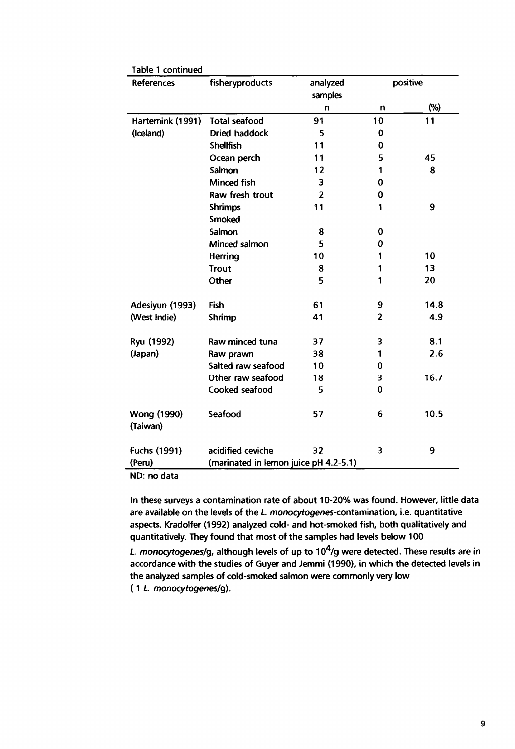| Table 1 continued<br>References                 | fisheryproducts      | analyzed                | positive       |      |
|-------------------------------------------------|----------------------|-------------------------|----------------|------|
|                                                 |                      | samples                 |                |      |
|                                                 |                      | n                       | n              | (%)  |
| Hartemink (1991)                                | <b>Total seafood</b> | 91                      | 10             | 11   |
| (Iceland)                                       | <b>Dried haddock</b> | 5                       | 0              |      |
|                                                 | <b>Shellfish</b>     | 11                      | $\mathbf 0$    |      |
|                                                 | Ocean perch          | 11                      | 5              | 45   |
|                                                 | Salmon               | 12                      | 1              | 8    |
|                                                 | <b>Minced fish</b>   | $\overline{\mathbf{3}}$ | $\bf{0}$       |      |
|                                                 | Raw fresh trout      | $\overline{\mathbf{z}}$ | 0              |      |
|                                                 | <b>Shrimps</b>       | 11                      | 1              | 9    |
|                                                 | <b>Smoked</b>        |                         |                |      |
|                                                 | Salmon               | 8                       | 0              |      |
|                                                 | Minced salmon        | 5                       | 0              |      |
|                                                 | Herring              | 10                      | 1              | 10   |
|                                                 | <b>Trout</b>         | 8                       | 1              | 13   |
|                                                 | Other                | 5                       | 1              | 20   |
| Adesiyun (1993)                                 | Fish                 | 61                      | 9              | 14.8 |
| (West Indie)                                    | Shrimp               | 41                      | $\overline{2}$ | 4.9  |
| Ryu (1992)                                      | Raw minced tuna      | 37                      | 3              | 8.1  |
| (Japan)                                         | Raw prawn            | 38                      | 1              | 2.6  |
|                                                 | Salted raw seafood   | 10                      | 0              |      |
|                                                 | Other raw seafood    | 18                      | 3              | 16.7 |
|                                                 | Cooked seafood       | 5                       | $\mathbf 0$    |      |
| Wong (1990)<br>(Taiwan)                         | Seafood              | 57                      | 6              | 10.5 |
| Fuchs (1991)                                    | acidified ceviche    | 32                      | 3              | 9    |
| (marinated in lemon juice pH 4.2-5.1)<br>(Peru) |                      |                         |                |      |

**ND: no data** 

**In these surveys a contamination rate of about 10-20% was found. However, little data**  are available on the levels of the *L. monocytogenes-contamination*, i.e. quantitative **aspects. Kradolfer (1992) analyzed cold- and hot-smoked fish, both qualitatively and quantitatively. They found that most of the samples had levels below 100** 

*L. monocytogenes/g,* **although levels of up to 10<sup>4</sup> /g were detected. These results are in accordance with the studies of Guyer and Jemmi (1990), in which the detected levels in the analyzed samples of cold-smoked salmon were commonly very low ( 1** *L monocytogenes/g).*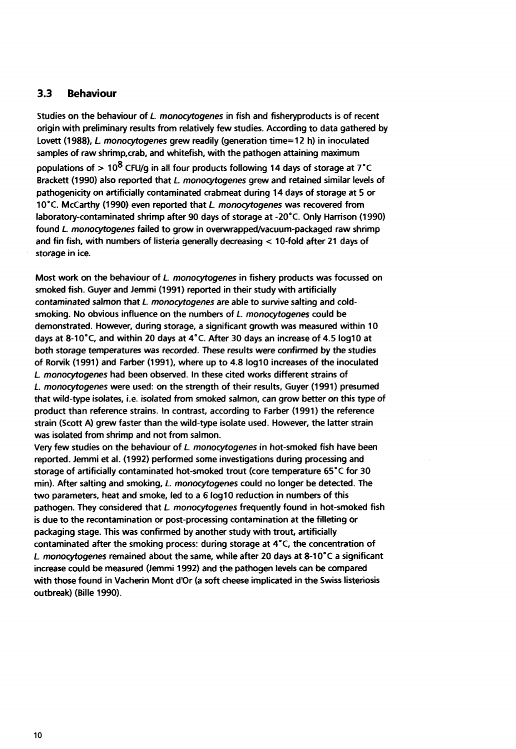### **3.3 Behaviour**

**Studies on the behaviour of** *L. monocytogenes* **in fish and fisheryproducts is of recent origin with preliminary results from relatively few studies. According to data gathered by Lovett (1988),** *L monocytogenes* **grew readily (generation time=12 h) in inoculated samples of raw shrimp.crab, and whitefish, with the pathogen attaining maximum populations of > 10® CFU/g in all four products following 14 days of storage at 7°C Brackett (1990) also reported that** *L monocytogenes* **grew and retained similar levels of pathogenicity on artificially contaminated crabmeat during 14 days of storage at 5 or 10°C. McCarthy (1990) even reported that** *L monocytogenes* **was recovered from laboratory-contaminated shrimp after 90 days of storage at -20°C. Only Harrison (1990) found** *L monocytogenes* **failed to grow in overwrapped/vacuum-packaged raw shrimp and fin fish, with numbers of listeria generally decreasing < 10-fold after 21 days of storage in ice.** 

**Most work on the behaviour of** *L. monocytogenes* **in fishery products was focussed on smoked fish. Guyer and Jemmi (1991) reported in their study with artificially**  *contaminated* **salmon that** *L. monocytogenes are* **able to survive salting and coldsmoking. No obvious influence on the numbers of** *L. monocytogenes* **could be demonstrated. However, during storage, a significant growth was measured within 10 days at 8-10°C, and within 20 days at 4°C. After 30 days an increase of 4.5 Iog10 at both storage temperatures was recorded. These results were confirmed by the studies of Rorvik (1991) and Färber (1991), where up to 4.8 Iog10 increases of the inoculated**  *L monocytogenes* **had been observed. In these cited works different strains of**  *L. monocytogenes* **were used: on the strength of their results. Guyer (1991) presumed that wild-type isolates, i.e. isolated from smoked salmon, can grow better on this type of product than reference strains. In contrast, according to Färber (1991) the reference strain (Scott A) grew faster than the wild-type isolate used. However, the latter strain was isolated from shrimp and not from salmon.** 

**Very few studies on the behaviour of** *L. monocytogenes* **in hot-smoked fish have been reported. Jemmi et al. (1992) performed some investigations during processing and storage of artificially contaminated hot-smoked trout (core temperature 65 °C for 30 min). After salting and smoking,** *L monocytogenes* **could no longer be detected. The two parameters, heat and smoke, led to a 6 Iog10 reduction in numbers of this pathogen. They considered that** *L monocytogenes* **frequently found in hot-smoked fish is due to the recontamination or post-processing contamination at the filleting or packaging stage. This was confirmed by another study with trout, artificially contaminated after the smoking process: during storage at 4"C, the concentration of**  *L monocytogenes* **remained about the same, while after 20 days at 8-10°C a significant increase could be measured (Jemmi 1992) and the pathogen levels can be compared with those found in Vacherin Mont d'Or (a soft cheese implicated in the Swiss listeriosis outbreak) (Bille 1990).**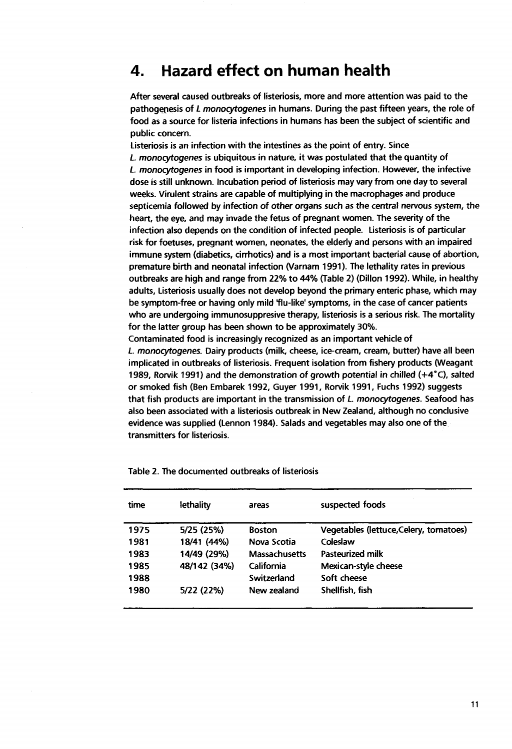## **4. Hazard effect on human health**

**After several caused outbreaks of listeriosis, more and more attention was paid to the pathogenesis of** *L monocytogenes* **in humans. During the past fifteen years, the role of food as a source for listeria infections in humans has been the subject of scientific and public concern.** 

**Listeriosis is an infection with the intestines as the point of entry. Since**  *L. monocytogenes* **is ubiquitous in nature, it was postulated that the quantity of**  *L. monocytogenes* **in food is important in developing infection. However, the infective dose is still unknown. Incubation period of listeriosis may vary from one day to several weeks. Virulent strains are capable of multiplying in the macrophages and produce septicemia followed by infection of other organs such as the central** *nervous* **system, the heart, the eye, and may invade the fetus of pregnant women. The severity of the infection also depends on the condition of infected people. Listeriosis is of particular risk for foetuses, pregnant women, neonates, the elderly and persons with an impaired immune system (diabetics, cirrhotics) and is a most important bacterial cause of abortion, premature birth and neonatal infection (Varnam 1991). The lethality rates in previous outbreaks are high and range from 22% to 44% (Table 2) (Dillon 1992). While, in healthy adults. Listeriosis usually does not develop beyond the primary enteric phase, which may be symptom-free or having only mild flu-like' symptoms, in the case of cancer patients who are undergoing immunosuppresive therapy, listeriosis is a serious risk. The mortality for the latter group has been shown to be approximately 30%.** 

**Contaminated food is increasingly recognized as an important vehicle of**  *L. monocytogenes.* **Dairy products (milk, cheese, ice-cream, cream, butter) have all been implicated in outbreaks of listeriosis. Frequent isolation from fishery products (Weagant 1989, Rorvik 1991) and the demonstration of growth potential in chilled (+4°C), salted or smoked fish (Ben Embarek 1992, Guyer 1991, Rorvik 1991, Fuchs 1992) suggests that fish products are important in the transmission of** *L. monocytogenes.* **Seafood has also been associated with a listeriosis outbreak in New Zealand, although no conclusive evidence was supplied (Lennon 1984). Salads and vegetables may also one of the transmitters for listeriosis.** 

| time | lethality    | areas                | suspected foods                        |
|------|--------------|----------------------|----------------------------------------|
| 1975 | 5/25 (25%)   | <b>Boston</b>        | Vegetables (lettuce, Celery, tomatoes) |
| 1981 | 18/41 (44%)  | Nova Scotia          | Coleslaw                               |
| 1983 | 14/49 (29%)  | <b>Massachusetts</b> | Pasteurized milk                       |
| 1985 | 48/142 (34%) | California           | Mexican-style cheese                   |
| 1988 |              | Switzerland          | Soft cheese                            |
| 1980 | 5/22 (22%)   | New zealand          | Shellfish, fish                        |

**Table 2. The documented outbreaks of listeriosis**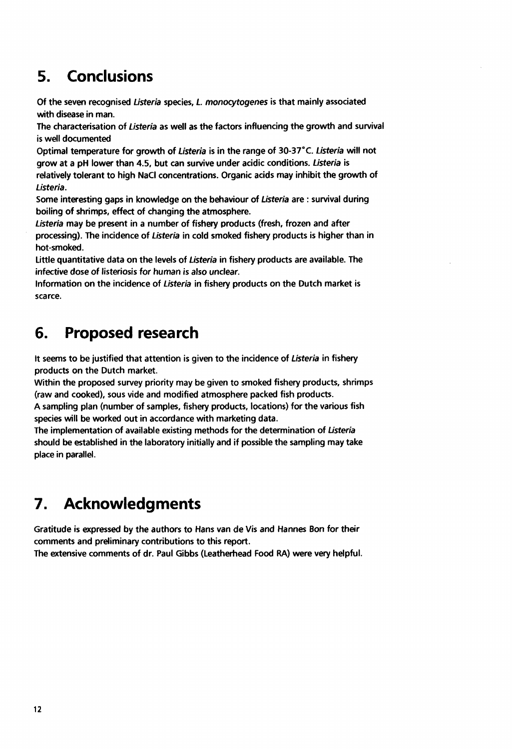# **5. Conclusions**

**Of the seven recognised** *Listeria* **species,** *L monocytogenes* **is that mainly associated with disease in man.** 

**The characterisation of** *Listeria* **as well as the factors influencing the growth and survival is well documented** 

**Optimal temperature for growth of** *Listeria* **is in the range of 30-37°C.** *Listeria* **will not grow at a pH lower than 4.5, but can survive under acidic conditions.** *Listeria* **is relatively tolerant to high NaCl concentrations. Organic acids may inhibit the growth of**  *Listeria.* 

**Some interesting gaps in knowledge on the behaviour of** *Listeria* **are : survival during boiling of shrimps, effect of changing the atmosphere.** 

*Listeria* **may be present in a number of fishery products (fresh, frozen and after processing). The incidence of** *Listeria* **in cold smoked fishery products is higher than in hot-smoked.** 

**Little quantitative data on the levels of** *Listeria* **in fishery products are available. The infective dose of listeriosis for human is also** *unclear.* 

**Information on the incidence of** *Listeria* **in fishery products on the Dutch market is scarce.** 

# **6. Proposed research**

**It seems to be justified that attention is given to the incidence of** *Listeria* **in fishery products on the Dutch market.** 

**Within the proposed survey priority may be given to smoked fishery products, shrimps (raw and cooked), sous vide and modified atmosphere packed fish products.** 

**A sampling plan (number of samples, fishery products, locations) for the various fish species will be worked out in accordance with marketing data.** 

**The implementation of available existing methods for the determination of** *Listeria*  **should be established in the laboratory initially and if possible the sampling may take place in parallel.** 

# **7. Acknowledgments**

**Gratitude is expressed by the authors to Hans van de Vis and Hannes Bon for their comments and preliminary contributions to this report.** 

**The extensive comments of dr. Paul Gibbs (Leatherhead Food RA) were very helpful.**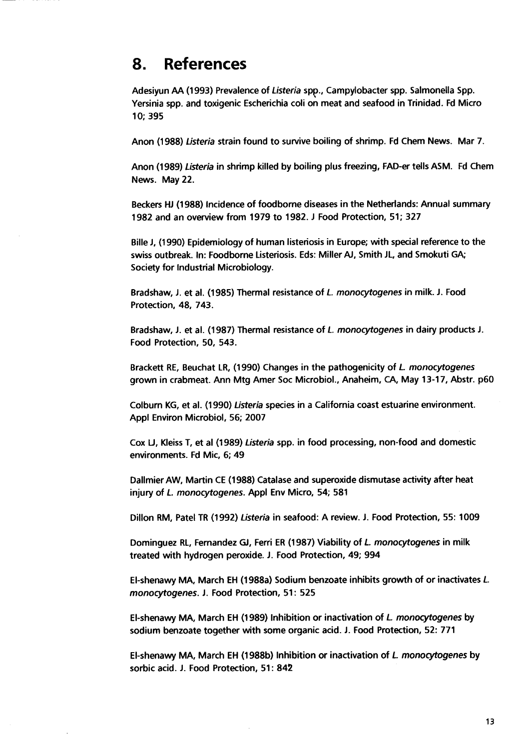## **8. References**

**Adesiyun AA (1993) Prevalence of** *Listeria* **spp., Campylobacter spp. Salmonella Spp. Yersinia spp. and toxigenic Escherichia coli on meat and seafood in Trinidad. Fd Micro 10; 395** 

**Anon (1988)** *Listeria* **strain found to survive boiling of shrimp. Fd Chem News. Mar 7.** 

**Anon (1989)** *Listeria* **in shrimp killed by boiling plus freezing, FAD-er tells ASM. Fd Chem News. May 22.** 

**Beckers HJ (1988) Incidence of foodborne diseases in the Netherlands: Annual summary 1982 and an overview from 1979 to 1982. J Food Protection, 51; 327** 

**Bille J, (1990) Epidemiology of human listeriosis in Europe; with special reference to the swiss outbreak. In: Foodborne Listeriosis. Eds: Miller AJ, Smith JL, and Smokuti GA; Society for Industrial Microbiology.** 

**Bradshaw, J. et al. (1985) Thermal resistance of** *L. monocytogenes* **in milk. J. Food Protection, 48, 743.** 

**Bradshaw, J. et al. (1987) Thermal resistance of** *L. monocytogenes* **in dairy products J. Food Protection, 50, 543.** 

**Brackett RE, Beuchat LR, (1990) Changes in the pathogenicity of** *L. monocytogenes*  **grown in crabmeat. Ann Mtg Amer Soc Microbiol., Anaheim, CA, May 13-17, Abstr. p60** 

**Colburn KG, et al. (1990)** *Listeria* **species in a California coast estuarine environment. Appl Environ Microbiol, 56; 2007** 

**Cox LJ, Kleiss T, et al (1989)** *Listeria* **spp. in food processing, non-food and domestic environments. Fd Mic, 6; 49** 

**Dallmier AW, Martin CE (1988) Catalase and superoxide dismutase activity after heat injury of** *L. monocytogenes.* **Appl Env Micro, 54; 581** 

**Dillon RM, Patel TR (1992)** *Listeria* **in seafood: A review. J. Food Protection, 55:1009** 

**Dominguez RL, Fernandez GJ, Ferri ER (1987) Viability of** *L. monocytogenes* **in milk treated with hydrogen peroxide. J. Food Protection, 49; 994** 

**El-shenawy MA, March EH (1988a) Sodium benzoate inhibits growth of or inactivates** *L monocytogenes.* **J. Food Protection, 51: 525** 

**El-shenawy MA, March EH (1989) Inhibition or inactivation of** *L monocytogenes* **by sodium benzoate together with some organic acid. J. Food Protection, 52: 771** 

**El-shenawy MA, March EH (1988b) Inhibition or inactivation of** *L monocytogenes* **by sorbic acid. J. Food Protection, 51: 842**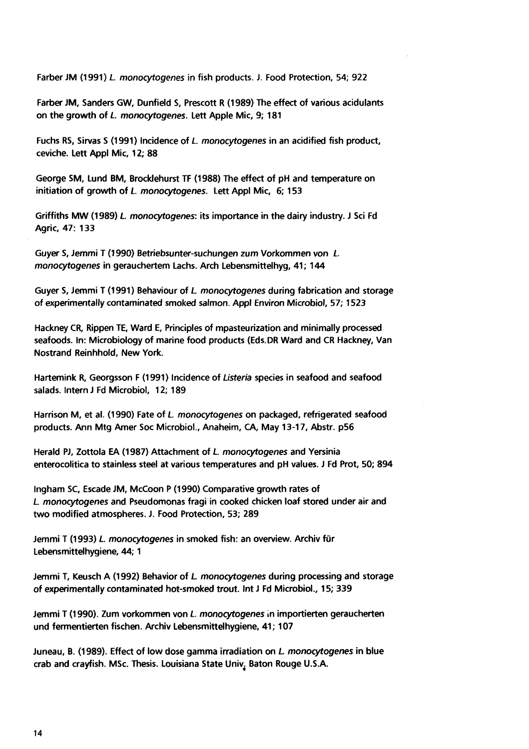**Farber JM (1991)** *L. monocytogenes* **in fish products. J. Food Protection, 54; 922** 

**Farber JM, Sanders GW, Dunfield S, Prescott R (1989) The effect of various acidulants on the growth of** *L. monocytogenes.* **Lett Apple Mic, 9; 181** 

**Fuchs RS, Sirvas S (1991) Incidence of** *L. monocytogenes* **in an acidified fish product, ceviche. Lett Appl Mic, 12; 88** 

**George SM, Lund BM, Brocklehurst TF (1988) The effect of pH and temperature on initiation of growth of** *L monocytogenes.* **Lett Appl Mic, 6; 153** 

**Griffiths MW (1989)** *L monocytogenes:* **its importance in the dairy industry. J Sei Fd Agric, 47: 133** 

*Guyer* **S, Jemmi T (1990) Betriebsunter-suchungen zum Vorkommen von** *L. monocytogenes* **in geräuchertem Lachs. Arch Lebensmittelhyg, 41; 144** 

**Guyer S, Jemmi T (1991) Behaviour of** *L monocytogenes* **during fabrication and storage of experimentally contaminated smoked salmon. Appl Environ Microbiol, 57; 1523** 

**Hackney CR, Rippen TE, Ward E, Principles of mpasteurization and minimally processed seafoods. In: Microbiology of marine food products (Eds.DR Ward and CR Hackney, Van Nostrand Reinhhold, New York.** 

**Hartemink R, Georgsson F (1991) Incidence of** *Listeria* **species in seafood and seafood salads. Intern J Fd Microbiol, 12; 189** 

**Harrison M, et al. (1990) Fate of** *L. monocytogenes* **on packaged, refrigerated seafood products. Ann Mtg Amer Soc Microbiol., Anaheim, CA, May 13-17, Abstr. p56** 

**Herald PJ, Zottola EA (1987) Attachment of** *L. monocytogenes* **and Yersinia enterocolitica to stainless steel at various temperatures and pH values. J Fd Prot, 50; 894** 

**Ingham SC, Escade JM, McCoon P (1990) Comparative growth rates of**  *L monocytogenes* **and Pseudomonas fragi in cooked chicken loaf stored under air and two modified atmospheres. J. Food Protection, 53; 289** 

**Jemmi T (1993)** *L. monocytogenes* **in smoked fish: an overview. Archiv für Lebensmittelhygiene, 44; 1** 

**Jemmi T, Keusch A (1992) Behavior of** *L monocytogenes* **during processing and storage**  *of* **experimentally contaminated hot-smoked trout. Int J Fd Microbiol., 15; 339** 

**Jemmi T (1990). Zum vorkommen von** *L. monocytogenes* **in importierten geräucherten und fermentierten fischen. Archiv Lebensmittel hygiene, 41; 107** 

**Juneau, B. (1989). Effect of low dose gamma irradiation on** *L monocytogenes* **in blue crab and crayfish. MSc. Thesis. Louisiana State Univ. Baton Rouge U.S.A.**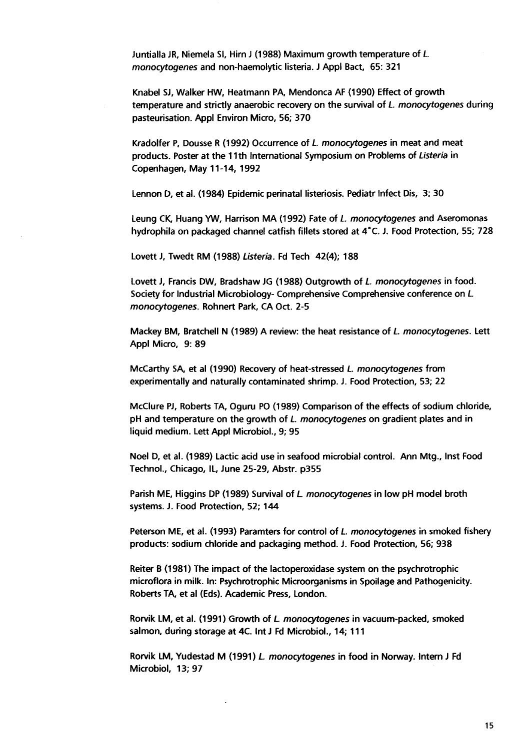**Juntialla JR, Niemela SI, Hirn J (1988) Maximum growth temperature of** *L monocytogenes* **and non-haemolytic listeria. J Appl Bact, 65: 321** 

**Knabel SJ, Walker HW, Heatmann PA, Mendonca AF (1990) Effect of growth temperature and strictly anaerobic recovery on the survival of** *L monocytogenes* **during pasteurisation. Appl Environ Micro, 56; 370** 

**Kradolfer P, Dousse R (1992) Occurrence of** *L. monocytogenes* **in meat and meat products. Poster at the 11th International Symposium on Problems of** *Listeria* **in Copenhagen, May 11-14, 1992** 

**Lennon D, et al. (1984) Epidemic perinatal listeriosis. Pediatr Infect Dis, 3; 30** 

**Leung CK, Huang YW, Harrison MA (1992) Fate of L** *monocytogenes* **and Aseromonas hydrophila on packaged channel catfish fillets stored at 4°C. J. Food Protection, 55; 728** 

**Lovett J, Twedt RM (1988)** *Listeria.* **Fd Tech 42(4); 188** 

**Lovett J, Francis DW, Bradshaw JG (1988) Outgrowth of** *L. monocytogenes* **in food. Society for Industrial Microbiology- Comprehensive Comprehensive conference on L**  *monocytogenes.* **Rohnert Park, CA Oct. 2-5** 

**Mackey BM, Bratchell N (1989) A review: the heat resistance of** *L monocytogenes.* **Lett Appl Micro, 9: 89** 

**McCarthy SA, et al (1990) Recovery of heat-stressed** *L. monocytogenes* **from experimentally and naturally contaminated shrimp. J. Food Protection, 53; 22** 

**McClure** *Pi,* **Roberts TA, Oguru PO (1989) Comparison of the effects of sodium chloride, pH and temperature on the growth of** *L. monocytogenes* **on gradient plates and in liquid medium. Lett Appl Microbiol., 9; 95** 

**Noel D, et al. (1989) Lactic acid use in seafood microbial control. Ann Mtg., Inst Food Technol., Chicago, IL, June 25-29, Abstr. p355** 

**Parish ME, Higgins DP (1989) Survival of** *L monocytogenes* **in low pH model broth systems. J. Food Protection, 52; 144** 

**Peterson ME, et al. (1993) Paramters for control of** *L. monocytogenes* **in smoked fishery products: sodium chloride and packaging method. J. Food Protection, 56; 938** 

**Reiter B (1981) The impact of the lactoperoxidase system on the psychrotrophic microflora in milk. In: Psychrotrophic Microorganisms in Spoilage and Pathogenicity. Roberts TA, et al (Eds). Academic Press, London.** 

**Rorvik LM, et al. (1991) Growth of** *L monocytogenes* **in vacuum-packed, smoked salmon, during storage at 4C. Int J Fd Microbiol., 14; 111** 

**Rorvik LM, Yudestad M (1991)** *L. monocytogenes* **in food in Norway. Intern J Fd Microbiol, 13; 97**